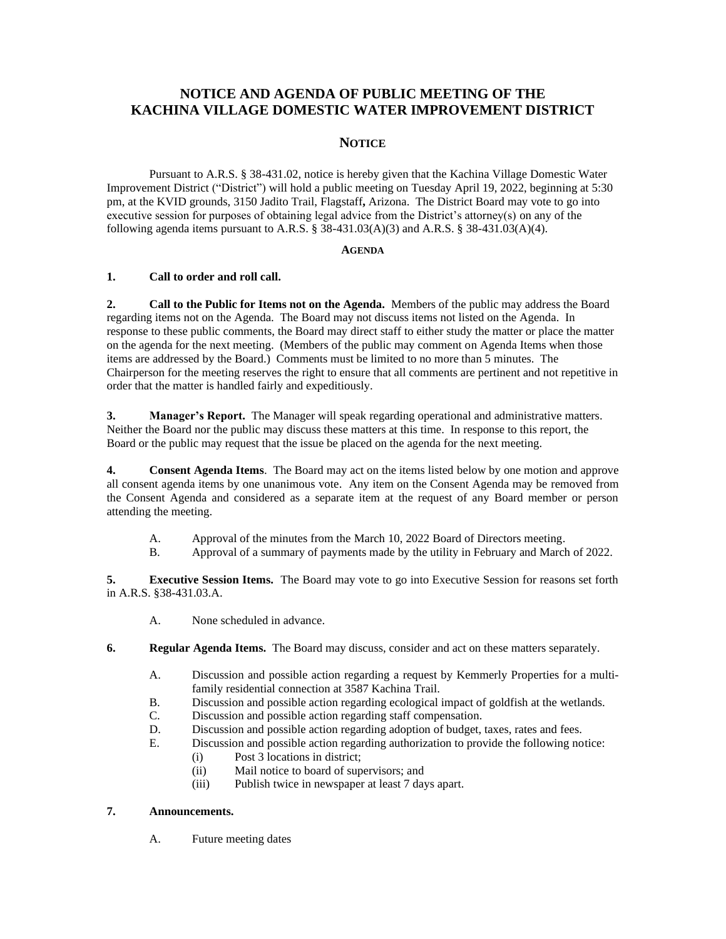# **NOTICE AND AGENDA OF PUBLIC MEETING OF THE KACHINA VILLAGE DOMESTIC WATER IMPROVEMENT DISTRICT**

## **NOTICE**

Pursuant to A.R.S. § 38-431.02, notice is hereby given that the Kachina Village Domestic Water Improvement District ("District") will hold a public meeting on Tuesday April 19, 2022, beginning at 5:30 pm, at the KVID grounds, 3150 Jadito Trail, Flagstaff**,** Arizona. The District Board may vote to go into executive session for purposes of obtaining legal advice from the District's attorney(s) on any of the following agenda items pursuant to A.R.S. § 38-431.03(A)(3) and A.R.S. § 38-431.03(A)(4).

#### **AGENDA**

### **1. Call to order and roll call.**

**2. Call to the Public for Items not on the Agenda.** Members of the public may address the Board regarding items not on the Agenda. The Board may not discuss items not listed on the Agenda. In response to these public comments, the Board may direct staff to either study the matter or place the matter on the agenda for the next meeting. (Members of the public may comment on Agenda Items when those items are addressed by the Board.) Comments must be limited to no more than 5 minutes. The Chairperson for the meeting reserves the right to ensure that all comments are pertinent and not repetitive in order that the matter is handled fairly and expeditiously.

**3. Manager's Report.** The Manager will speak regarding operational and administrative matters. Neither the Board nor the public may discuss these matters at this time. In response to this report, the Board or the public may request that the issue be placed on the agenda for the next meeting.

**4. Consent Agenda Items**. The Board may act on the items listed below by one motion and approve all consent agenda items by one unanimous vote. Any item on the Consent Agenda may be removed from the Consent Agenda and considered as a separate item at the request of any Board member or person attending the meeting.

- A. Approval of the minutes from the March 10, 2022 Board of Directors meeting.
- B. Approval of a summary of payments made by the utility in February and March of 2022.

**5. Executive Session Items.** The Board may vote to go into Executive Session for reasons set forth in A.R.S. §38-431.03.A.

- A. None scheduled in advance.
- **6. Regular Agenda Items.** The Board may discuss, consider and act on these matters separately.
	- A. Discussion and possible action regarding a request by Kemmerly Properties for a multifamily residential connection at 3587 Kachina Trail.
	- B. Discussion and possible action regarding ecological impact of goldfish at the wetlands.
	- C. Discussion and possible action regarding staff compensation.
	- D. Discussion and possible action regarding adoption of budget, taxes, rates and fees.
	- E. Discussion and possible action regarding authorization to provide the following notice:
		- (i) Post 3 locations in district;
		- (ii) Mail notice to board of supervisors; and
		- (iii) Publish twice in newspaper at least 7 days apart.

### **7. Announcements.**

A. Future meeting dates